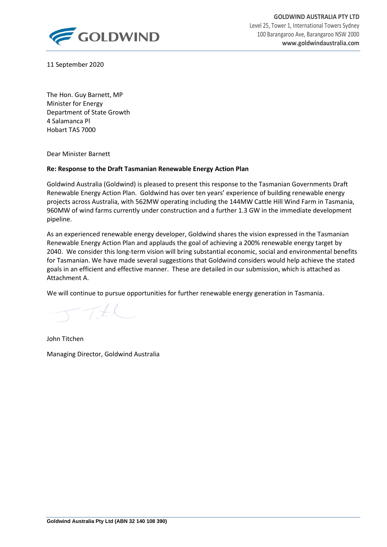

**GOLDWIND AUSTRALIA PTY LTD** Level 25, Tower 1, International Towers Sydney 100 Barangaroo Ave, Barangaroo NSW 2000 **www.goldwindaustralia.com**

11 September 2020

The Hon. Guy Barnett, MP Minister for Energy Department of State Growth 4 Salamanca Pl Hobart TAS 7000

Dear Minister Barnett

### **Re: Response to the Draft Tasmanian Renewable Energy Action Plan**

Goldwind Australia (Goldwind) is pleased to present this response to the Tasmanian Governments Draft Renewable Energy Action Plan. Goldwind has over ten years' experience of building renewable energy projects across Australia, with 562MW operating including the 144MW Cattle Hill Wind Farm in Tasmania, 960MW of wind farms currently under construction and a further 1.3 GW in the immediate development pipeline.

As an experienced renewable energy developer, Goldwind shares the vision expressed in the Tasmanian Renewable Energy Action Plan and applauds the goal of achieving a 200% renewable energy target by 2040. We consider this long-term vision will bring substantial economic, social and environmental benefits for Tasmanian. We have made several suggestions that Goldwind considers would help achieve the stated goals in an efficient and effective manner. These are detailed in our submission, which is attached as Attachment A.

We will continue to pursue opportunities for further renewable energy generation in Tasmania.

 $T-TAL$ 

John Titchen Managing Director, Goldwind Australia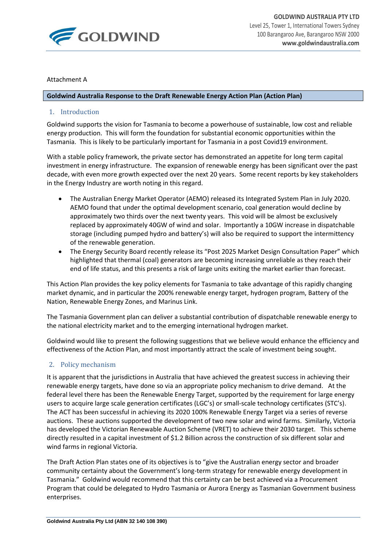

### Attachment A

#### **Goldwind Australia Response to the Draft Renewable Energy Action Plan (Action Plan)**

## 1. Introduction

Goldwind supports the vision for Tasmania to become a powerhouse of sustainable, low cost and reliable energy production. This will form the foundation for substantial economic opportunities within the Tasmania. This is likely to be particularly important for Tasmania in a post Covid19 environment.

With a stable policy framework, the private sector has demonstrated an appetite for long term capital investment in energy infrastructure. The expansion of renewable energy has been significant over the past decade, with even more growth expected over the next 20 years. Some recent reports by key stakeholders in the Energy Industry are worth noting in this regard.

- The Australian Energy Market Operator (AEMO) released its Integrated System Plan in July 2020. AEMO found that under the optimal development scenario, coal generation would decline by approximately two thirds over the next twenty years. This void will be almost be exclusively replaced by approximately 40GW of wind and solar. Importantly a 10GW increase in dispatchable storage (including pumped hydro and battery's) will also be required to support the intermittency of the renewable generation.
- The Energy Security Board recently release its "Post 2025 Market Design Consultation Paper" which highlighted that thermal (coal) generators are becoming increasing unreliable as they reach their end of life status, and this presents a risk of large units exiting the market earlier than forecast.

This Action Plan provides the key policy elements for Tasmania to take advantage of this rapidly changing market dynamic, and in particular the 200% renewable energy target, hydrogen program, Battery of the Nation, Renewable Energy Zones, and Marinus Link.

The Tasmania Government plan can deliver a substantial contribution of dispatchable renewable energy to the national electricity market and to the emerging international hydrogen market.

Goldwind would like to present the following suggestions that we believe would enhance the efficiency and effectiveness of the Action Plan, and most importantly attract the scale of investment being sought.

## 2. Policy mechanism

It is apparent that the jurisdictions in Australia that have achieved the greatest success in achieving their renewable energy targets, have done so via an appropriate policy mechanism to drive demand. At the federal level there has been the Renewable Energy Target, supported by the requirement for large energy users to acquire large scale generation certificates (LGC's) or small-scale technology certificates (STC's). The ACT has been successful in achieving its 2020 100% Renewable Energy Target via a series of reverse auctions. These auctions supported the development of two new solar and wind farms. Similarly, Victoria has developed the Victorian Renewable Auction Scheme (VRET) to achieve their 2030 target. This scheme directly resulted in a capital investment of \$1.2 Billion across the construction of six different solar and wind farms in regional Victoria.

The Draft Action Plan states one of its objectives is to "give the Australian energy sector and broader community certainty about the Government's long-term strategy for renewable energy development in Tasmania." Goldwind would recommend that this certainty can be best achieved via a Procurement Program that could be delegated to Hydro Tasmania or Aurora Energy as Tasmanian Government business enterprises.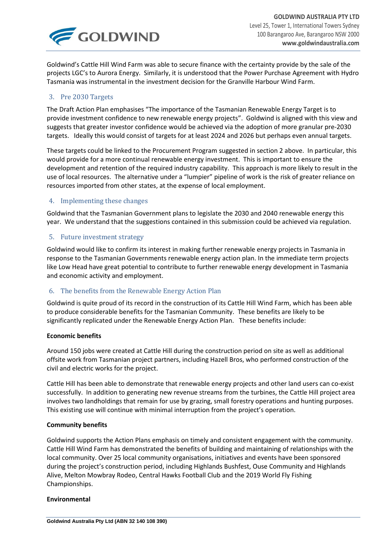

Goldwind's Cattle Hill Wind Farm was able to secure finance with the certainty provide by the sale of the projects LGC's to Aurora Energy. Similarly, it is understood that the Power Purchase Agreement with Hydro Tasmania was instrumental in the investment decision for the Granville Harbour Wind Farm.

## 3. Pre 2030 Targets

The Draft Action Plan emphasises "The importance of the Tasmanian Renewable Energy Target is to provide investment confidence to new renewable energy projects". Goldwind is aligned with this view and suggests that greater investor confidence would be achieved via the adoption of more granular pre-2030 targets. Ideally this would consist of targets for at least 2024 and 2026 but perhaps even annual targets.

These targets could be linked to the Procurement Program suggested in section 2 above. In particular, this would provide for a more continual renewable energy investment. This is important to ensure the development and retention of the required industry capability. This approach is more likely to result in the use of local resources. The alternative under a "lumpier" pipeline of work is the risk of greater reliance on resources imported from other states, at the expense of local employment.

## 4. Implementing these changes

Goldwind that the Tasmanian Government plans to legislate the 2030 and 2040 renewable energy this year. We understand that the suggestions contained in this submission could be achieved via regulation.

## 5. Future investment strategy

Goldwind would like to confirm its interest in making further renewable energy projects in Tasmania in response to the Tasmanian Governments renewable energy action plan. In the immediate term projects like Low Head have great potential to contribute to further renewable energy development in Tasmania and economic activity and employment.

## 6. The benefits from the Renewable Energy Action Plan

Goldwind is quite proud of its record in the construction of its Cattle Hill Wind Farm, which has been able to produce considerable benefits for the Tasmanian Community. These benefits are likely to be significantly replicated under the Renewable Energy Action Plan. These benefits include:

### **Economic benefits**

Around 150 jobs were created at Cattle Hill during the construction period on site as well as additional offsite work from Tasmanian project partners, including Hazell Bros, who performed construction of the civil and electric works for the project.

Cattle Hill has been able to demonstrate that renewable energy projects and other land users can co-exist successfully. In addition to generating new revenue streams from the turbines, the Cattle Hill project area involves two landholdings that remain for use by grazing, small forestry operations and hunting purposes. This existing use will continue with minimal interruption from the project's operation.

### **Community benefits**

Goldwind supports the Action Plans emphasis on timely and consistent engagement with the community. Cattle Hill Wind Farm has demonstrated the benefits of building and maintaining of relationships with the local community. Over 25 local community organisations, initiatives and events have been sponsored during the project's construction period, including Highlands Bushfest, Ouse Community and Highlands Alive, Melton Mowbray Rodeo, Central Hawks Football Club and the 2019 World Fly Fishing Championships.

### **Environmental**